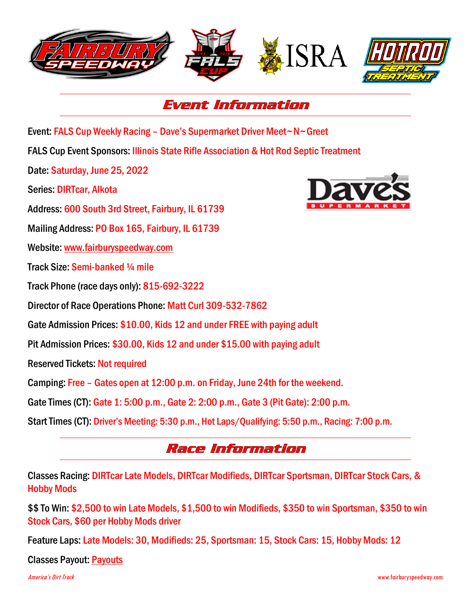



## Event Information

Event: FALS Cup Weekly Racing – Dave's Supermarket Driver Meet~N~Greet

FALS Cup Event Sponsors: [Illinois State Rifle Association & Hot Rod Septic Treatment](http://www.fairburyfastener.com/)

Date: Saturday, June 25, 2022

Series: DIRTcar, Alkota

Address: 600 South 3rd Street, Fairbury, IL 61739

Mailing Address: PO Box 165, Fairbury, IL 61739

Website: [www.fairburyspeedway.com](http://www.fairburyspeedway.com/)

Track Size: Semi-banked ¼ mile

Track Phone (race days only): 815-692-3222

Director of Race Operations Phone: Matt Curl 309-532-7862

Gate Admission Prices: \$10.00, Kids 12 and under FREE with paying adult

Pit Admission Prices: \$30.00, Kids 12 and under \$15.00 with paying adult

Reserved Tickets: Not required

Camping: Free – Gates open at 12:00 p.m. on Friday, June 24th for the weekend.

Gate Times (CT): Gate 1: 5:00 p.m., Gate 2: 2:00 p.m., Gate 3 (Pit Gate): 2:00 p.m.

Start Times (CT): Driver's Meeting: 5:30 p.m., Hot Laps/Qualifying: 5:50 p.m., Racing: 7:00 p.m.

## Race Information

Classes Racing: DIRTcar Late Models, DIRTcar Modifieds, DIRTcar Sportsman, DIRTcar Stock Cars, & Hobby Mods

\$\$ To Win: \$2,500 to win Late Models, \$1,500 to win Modifieds, \$350 to win Sportsman, \$350 to win Stock Cars, \$60 per Hobby Mods driver

Feature Laps: Late Models: 30, Modifieds: 25, Sportsman: 15, Stock Cars: 15, Hobby Mods: 12

Classes Payout: [Payouts](http://www.fairburyspeedway.com/payouts/2022/FALS_Cup_Weekly_Payout.pdf)